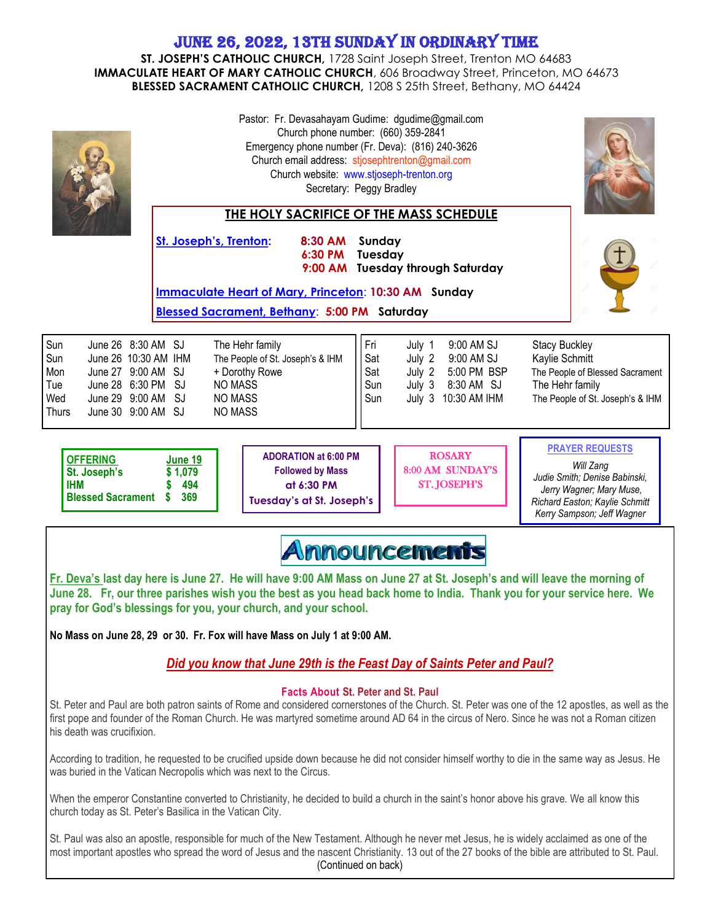## June 26, 2022, 13th Sunday in Ordinary Time

**ST. JOSEPH'S CATHOLIC CHURCH,** 1728 Saint Joseph Street, Trenton MO 64683 **IMMACULATE HEART OF MARY CATHOLIC CHURCH**, 606 Broadway Street, Princeton, MO 64673 **BLESSED SACRAMENT CATHOLIC CHURCH,** 1208 S 25th Street, Bethany, MO 64424

| St. Joseph's, Trenton:                                                                                                                                                                                                                                                                                                                                                    | 8:30 AM                                                                                                                     | Pastor: Fr. Devasahayam Gudime: dgudime@gmail.com<br>Church phone number: (660) 359-2841<br>Emergency phone number (Fr. Deva): (816) 240-3626<br>Church email address: stjosephtrenton@gmail.com<br>Church website: www.stjoseph-trenton.org<br>Secretary: Peggy Bradley<br>THE HOLY SACRIFICE OF THE MASS SCHEDULE<br>Sunday |                                                                                                                                                                  |
|---------------------------------------------------------------------------------------------------------------------------------------------------------------------------------------------------------------------------------------------------------------------------------------------------------------------------------------------------------------------------|-----------------------------------------------------------------------------------------------------------------------------|-------------------------------------------------------------------------------------------------------------------------------------------------------------------------------------------------------------------------------------------------------------------------------------------------------------------------------|------------------------------------------------------------------------------------------------------------------------------------------------------------------|
|                                                                                                                                                                                                                                                                                                                                                                           | 6:30 PM                                                                                                                     | Tuesday<br>9:00 AM Tuesday through Saturday                                                                                                                                                                                                                                                                                   |                                                                                                                                                                  |
| <b>Immaculate Heart of Mary, Princeton: 10:30 AM Sunday</b><br>Blessed Sacrament, Bethany: 5:00 PM Saturday                                                                                                                                                                                                                                                               |                                                                                                                             |                                                                                                                                                                                                                                                                                                                               |                                                                                                                                                                  |
| Sun<br>June 26 8:30 AM SJ<br>Sun<br>June 26 10:30 AM IHM<br>Mon<br>June 27 9:00 AM SJ<br>Tue<br>June 28 6:30 PM SJ<br>Wed<br>June 29 9:00 AM SJ<br>June 30 9:00 AM SJ<br><b>Thurs</b>                                                                                                                                                                                     | The Hehr family<br>The People of St. Joseph's & IHM<br>+ Dorothy Rowe<br><b>NO MASS</b><br><b>NO MASS</b><br><b>NO MASS</b> | Fri<br>9:00 AM SJ<br>July 1<br>Sat<br>9:00 AM SJ<br>July 2<br>Sat<br>5:00 PM BSP<br>July 2<br>Sun<br>8:30 AM SJ<br>July 3<br>Sun<br>July 3 10:30 AM IHM                                                                                                                                                                       | <b>Stacy Buckley</b><br>Kaylie Schmitt<br>The People of Blessed Sacrament<br>The Hehr family<br>The People of St. Joseph's & IHM                                 |
| <b>OFFERING</b><br>June 19<br>St. Joseph's<br>\$1,079<br>IHM<br>494<br><b>Blessed Sacrament</b><br>369                                                                                                                                                                                                                                                                    | <b>ADORATION at 6:00 PM</b><br><b>Followed by Mass</b><br>at 6:30 PM<br><b>Tuesday's at St. Joseph's</b>                    | <b>ROSARY</b><br>8:00 AM SUNDAY'S<br><b>ST. JOSEPH'S</b>                                                                                                                                                                                                                                                                      | <b>PRAYER REQUESTS</b><br>Will Zang<br>Judie Smith; Denise Babinski,<br>Jerry Wagner; Mary Muse,<br>Richard Easton; Kaylie Schmitt<br>Kerry Sampson; Jeff Wagner |
| <u>Announcements</u>                                                                                                                                                                                                                                                                                                                                                      |                                                                                                                             |                                                                                                                                                                                                                                                                                                                               |                                                                                                                                                                  |
| Fr. Deva's last day here is June 27. He will have 9:00 AM Mass on June 27 at St. Joseph's and will leave the morning of<br>June 28. Fr, our three parishes wish you the best as you head back home to India. Thank you for your service here. We<br>pray for God's blessings for you, your church, and your school.                                                       |                                                                                                                             |                                                                                                                                                                                                                                                                                                                               |                                                                                                                                                                  |
| No Mass on June 28, 29 or 30. Fr. Fox will have Mass on July 1 at 9:00 AM.                                                                                                                                                                                                                                                                                                |                                                                                                                             |                                                                                                                                                                                                                                                                                                                               |                                                                                                                                                                  |
| Did you know that June 29th is the Feast Day of Saints Peter and Paul?                                                                                                                                                                                                                                                                                                    |                                                                                                                             |                                                                                                                                                                                                                                                                                                                               |                                                                                                                                                                  |
| <b>Facts About St. Peter and St. Paul</b><br>St. Peter and Paul are both patron saints of Rome and considered cornerstones of the Church. St. Peter was one of the 12 apostles, as well as the<br>first pope and founder of the Roman Church. He was martyred sometime around AD 64 in the circus of Nero. Since he was not a Roman citizen<br>his death was crucifixion. |                                                                                                                             |                                                                                                                                                                                                                                                                                                                               |                                                                                                                                                                  |
| According to tradition, he requested to be crucified upside down because he did not consider himself worthy to die in the same way as Jesus. He<br>was buried in the Vatican Necropolis which was next to the Circus.                                                                                                                                                     |                                                                                                                             |                                                                                                                                                                                                                                                                                                                               |                                                                                                                                                                  |

When the emperor Constantine converted to Christianity, he decided to build a church in the saint's honor above his grave. We all know this church today as St. Peter's Basilica in the Vatican City.

St. Paul was also an apostle, responsible for much of the New Testament. Although he never met Jesus, he is widely acclaimed as one of the most important apostles who spread the word of Jesus and the nascent Christianity. 13 out of the 27 books of the bible are attributed to St. Paul. (Continued on back)